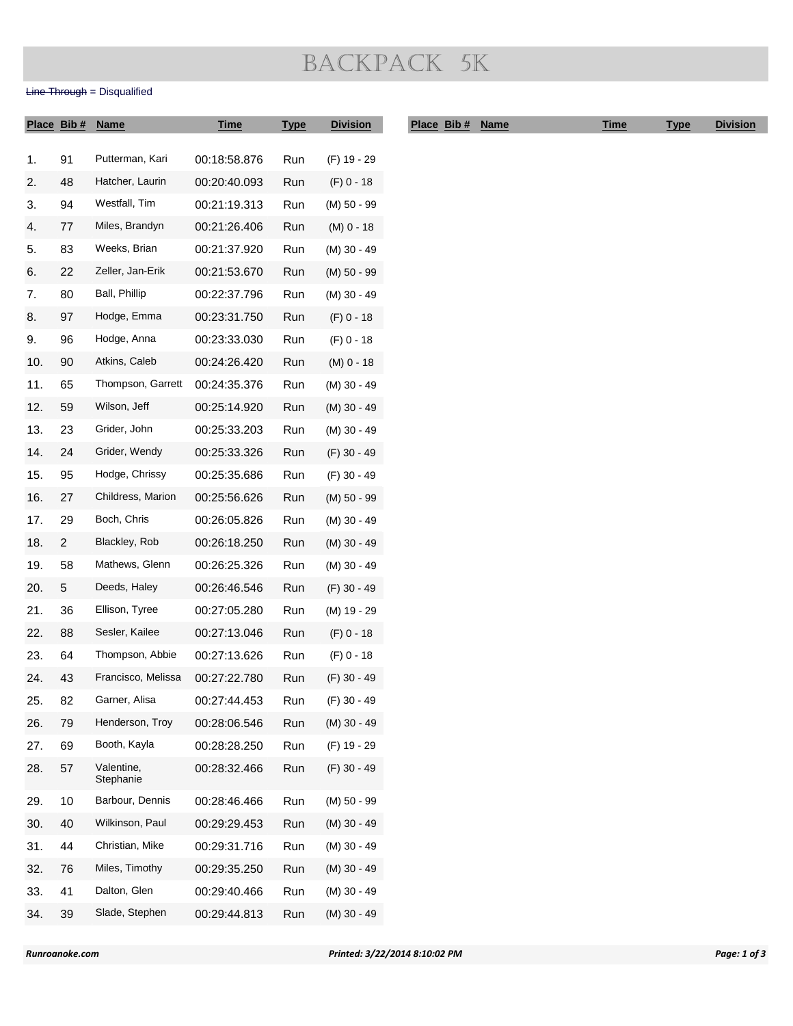# Backpack 5k

## Line Through = Disqualified

|     | Place Bib #      | <b>Name</b>             | <b>Time</b>  | <b>Type</b> | <b>Division</b> | Place Bib# | <b>Name</b> | <b>Time</b> | <b>Type</b> |
|-----|------------------|-------------------------|--------------|-------------|-----------------|------------|-------------|-------------|-------------|
| 1.  | 91               | Putterman, Kari         | 00:18:58.876 | Run         | (F) 19 - 29     |            |             |             |             |
| 2.  | 48               | Hatcher, Laurin         | 00:20:40.093 | Run         | $(F)$ 0 - 18    |            |             |             |             |
| 3.  | 94               | Westfall, Tim           | 00:21:19.313 |             | (M) 50 - 99     |            |             |             |             |
|     |                  | Miles, Brandyn          |              | Run         |                 |            |             |             |             |
| 4.  | 77               |                         | 00:21:26.406 | Run         | $(M)$ 0 - 18    |            |             |             |             |
| 5.  | 83               | Weeks, Brian            | 00:21:37.920 | Run         | (M) 30 - 49     |            |             |             |             |
| 6.  | 22               | Zeller, Jan-Erik        | 00:21:53.670 | Run         | (M) 50 - 99     |            |             |             |             |
| 7.  | 80               | Ball, Phillip           | 00:22:37.796 | Run         | (M) 30 - 49     |            |             |             |             |
| 8.  | 97               | Hodge, Emma             | 00:23:31.750 | Run         | $(F)$ 0 - 18    |            |             |             |             |
| 9.  | 96               | Hodge, Anna             | 00:23:33.030 | Run         | $(F)$ 0 - 18    |            |             |             |             |
| 10. | 90               | Atkins, Caleb           | 00:24:26.420 | Run         | $(M)$ 0 - 18    |            |             |             |             |
| 11. | 65               | Thompson, Garrett       | 00:24:35.376 | Run         | (M) 30 - 49     |            |             |             |             |
| 12. | 59               | Wilson, Jeff            | 00:25:14.920 | Run         | $(M)$ 30 - 49   |            |             |             |             |
| 13. | 23               | Grider, John            | 00:25:33.203 | Run         | (M) 30 - 49     |            |             |             |             |
| 14. | 24               | Grider, Wendy           | 00:25:33.326 | Run         | (F) 30 - 49     |            |             |             |             |
| 15. | 95               | Hodge, Chrissy          | 00:25:35.686 | Run         | $(F)$ 30 - 49   |            |             |             |             |
| 16. | 27               | Childress, Marion       | 00:25:56.626 | Run         | $(M)$ 50 - 99   |            |             |             |             |
| 17. | 29               | Boch, Chris             | 00:26:05.826 | Run         | (M) 30 - 49     |            |             |             |             |
| 18. | $\boldsymbol{2}$ | Blackley, Rob           | 00:26:18.250 | Run         | $(M)$ 30 - 49   |            |             |             |             |
| 19. | 58               | Mathews, Glenn          | 00:26:25.326 | Run         | (M) 30 - 49     |            |             |             |             |
| 20. | 5                | Deeds, Haley            | 00:26:46.546 | Run         | $(F)$ 30 - 49   |            |             |             |             |
| 21. | 36               | Ellison, Tyree          | 00:27:05.280 | Run         | (M) 19 - 29     |            |             |             |             |
| 22. | 88               | Sesler, Kailee          | 00:27:13.046 | Run         | $(F)$ 0 - 18    |            |             |             |             |
| 23. | 64               | Thompson, Abbie         | 00:27:13.626 | Run         | $(F)$ 0 - 18    |            |             |             |             |
| 24. | 43               | Francisco, Melissa      | 00:27:22.780 | Run         | (F) 30 - 49     |            |             |             |             |
| 25. | 82               | Garner, Alisa           | 00:27:44.453 | Run         | (F) 30 - 49     |            |             |             |             |
| 26. | 79               | Henderson, Troy         | 00:28:06.546 | Run         | $(M)$ 30 - 49   |            |             |             |             |
| 27. | 69               | Booth, Kayla            | 00:28:28.250 | Run         | (F) 19 - 29     |            |             |             |             |
| 28. | 57               | Valentine,<br>Stephanie | 00:28:32.466 | Run         | (F) 30 - 49     |            |             |             |             |
| 29. | 10               | Barbour, Dennis         | 00:28:46.466 | Run         | (M) 50 - 99     |            |             |             |             |
| 30. | 40               | Wilkinson, Paul         | 00:29:29.453 | Run         | $(M)$ 30 - 49   |            |             |             |             |
| 31. | 44               | Christian, Mike         | 00:29:31.716 | Run         | $(M)$ 30 - 49   |            |             |             |             |
| 32. | 76               | Miles, Timothy          | 00:29:35.250 | Run         | $(M)$ 30 - 49   |            |             |             |             |
|     |                  | Dalton, Glen            |              |             |                 |            |             |             |             |
| 33. | 41               |                         | 00:29:40.466 | Run         | (M) 30 - 49     |            |             |             |             |
| 34. | 39               | Slade, Stephen          | 00:29:44.813 | Run         | (M) 30 - 49     |            |             |             |             |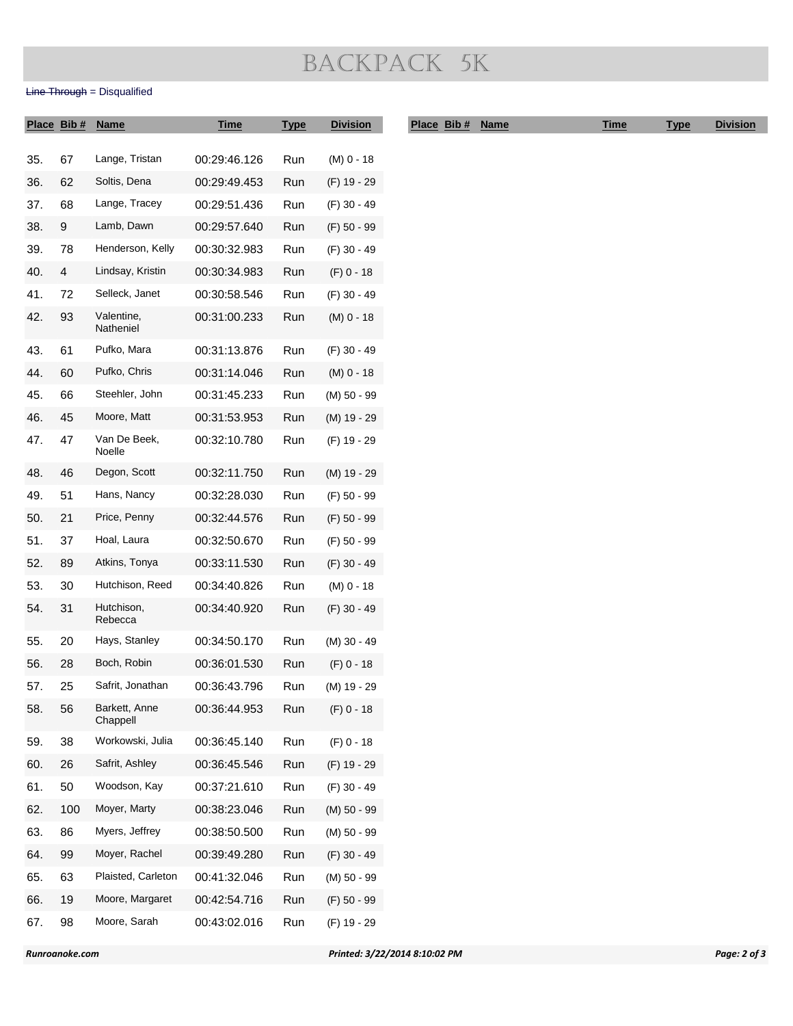# Backpack 5k

## Line Through = Disqualified

|     | Place Bib #    | <b>Name</b>               | <b>Time</b>  | <b>Type</b> | <b>Division</b> |
|-----|----------------|---------------------------|--------------|-------------|-----------------|
| 35. | 67             | Lange, Tristan            | 00:29:46.126 | Run         | $(M)$ 0 - 18    |
| 36. | 62             | Soltis, Dena              | 00:29:49.453 | Run         | (F) 19 - 29     |
| 37. | 68             | Lange, Tracey             | 00:29:51.436 | Run         | (F) 30 - 49     |
| 38. | 9              | Lamb, Dawn                | 00:29:57.640 | Run         | $(F) 50 - 99$   |
| 39. | 78             | Henderson, Kelly          | 00:30:32.983 | Run         | $(F)$ 30 - 49   |
| 40. | $\overline{4}$ | Lindsay, Kristin          | 00:30:34.983 | Run         | $(F)$ 0 - 18    |
| 41. | 72             | Selleck, Janet            | 00:30:58.546 | Run         | $(F)$ 30 - 49   |
| 42. | 93             | Valentine,<br>Natheniel   | 00:31:00.233 | Run         | $(M)$ 0 - 18    |
| 43. | 61             | Pufko, Mara               | 00:31:13.876 | Run         | $(F)$ 30 - 49   |
| 44. | 60             | Pufko, Chris              | 00:31:14.046 | Run         | $(M)$ 0 - 18    |
| 45. | 66             | Steehler, John            | 00:31:45.233 | Run         | (M) 50 - 99     |
| 46. | 45             | Moore, Matt               | 00:31:53.953 | Run         | (M) 19 - 29     |
| 47. | 47             | Van De Beek,<br>Noelle    | 00:32:10.780 | Run         | (F) 19 - 29     |
| 48. | 46             | Degon, Scott              | 00:32:11.750 | Run         | (M) 19 - 29     |
| 49. | 51             | Hans, Nancy               | 00:32:28.030 | Run         | $(F) 50 - 99$   |
| 50. | 21             | Price, Penny              | 00:32:44.576 | Run         | $(F) 50 - 99$   |
| 51. | 37             | Hoal, Laura               | 00:32:50.670 | Run         | $(F) 50 - 99$   |
| 52. | 89             | Atkins, Tonya             | 00:33:11.530 | Run         | (F) 30 - 49     |
| 53. | 30             | Hutchison, Reed           | 00:34:40.826 | Run         | $(M)$ 0 - 18    |
| 54. | 31             | Hutchison,<br>Rebecca     | 00:34:40.920 | Run         | $(F)$ 30 - 49   |
| 55. | 20             | Hays, Stanley             | 00:34:50.170 | Run         | (M) 30 - 49     |
| 56. | 28             | Boch, Robin               | 00:36:01.530 | Run         | $(F)$ 0 - 18    |
| 57. | 25             | Safrit, Jonathan          | 00:36:43.796 | Run         | (M) 19 - 29     |
| 58. | 56             | Barkett, Anne<br>Chappell | 00:36:44.953 | Run         | $(F)$ 0 - 18    |
| 59. | 38             | Workowski, Julia          | 00:36:45.140 | Run         | $(F)$ 0 - 18    |
| 60. | 26             | Safrit, Ashley            | 00:36:45.546 | Run         | (F) 19 - 29     |
| 61. | 50             | Woodson, Kay              | 00:37:21.610 | Run         | $(F)$ 30 - 49   |
| 62. | 100            | Moyer, Marty              | 00:38:23.046 | Run         | $(M)$ 50 - 99   |
| 63. | 86             | Myers, Jeffrey            | 00:38:50.500 | Run         | (M) 50 - 99     |
| 64. | 99             | Moyer, Rachel             | 00:39:49.280 | Run         | $(F)$ 30 - 49   |
| 65. | 63             | Plaisted, Carleton        | 00:41:32.046 | Run         | (M) 50 - 99     |
| 66. | 19             | Moore, Margaret           | 00:42:54.716 | Run         | (F) 50 - 99     |
| 67. | 98             | Moore, Sarah              | 00:43:02.016 | Run         | (F) 19 - 29     |